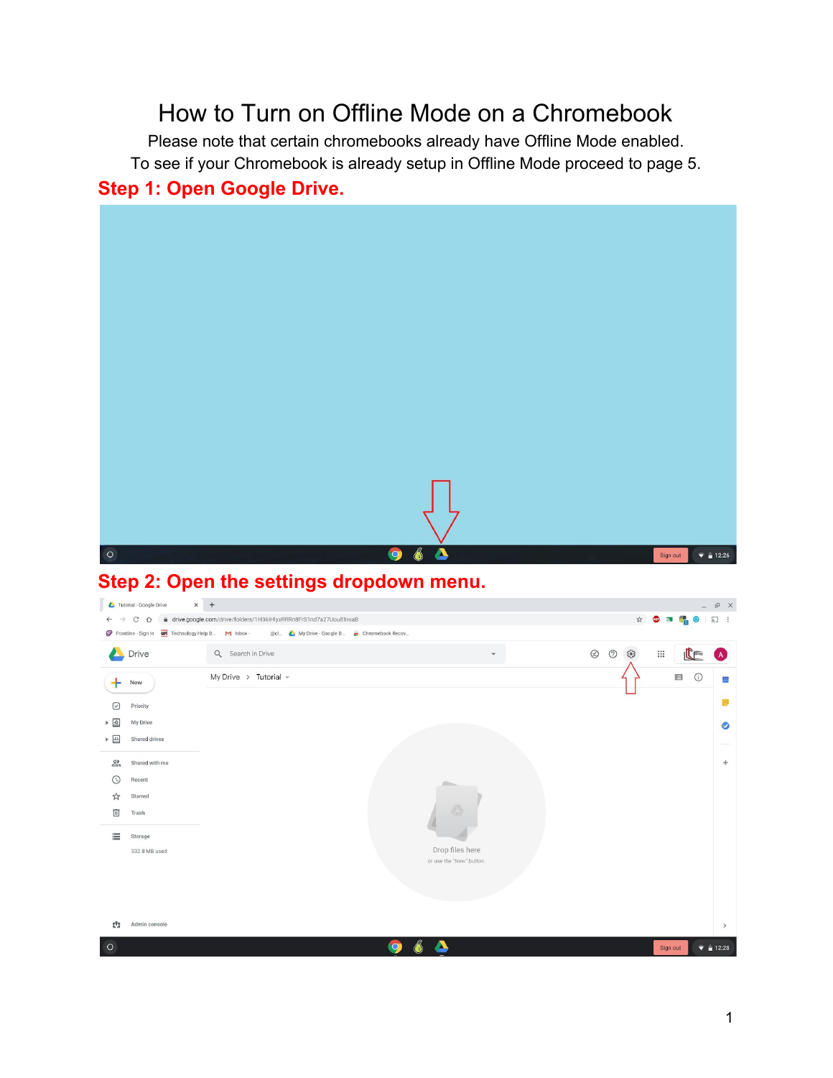# How to Turn on Offline Mode on a Chromebook

Please note that certain chromebooks already have Offline Mode enabled. To see if your Chromebook is already setup in Offline Mode proceed to page 5. **Step 1: Open Google Drive.**



#### **Step 2: Open the settings dropdown menu.**

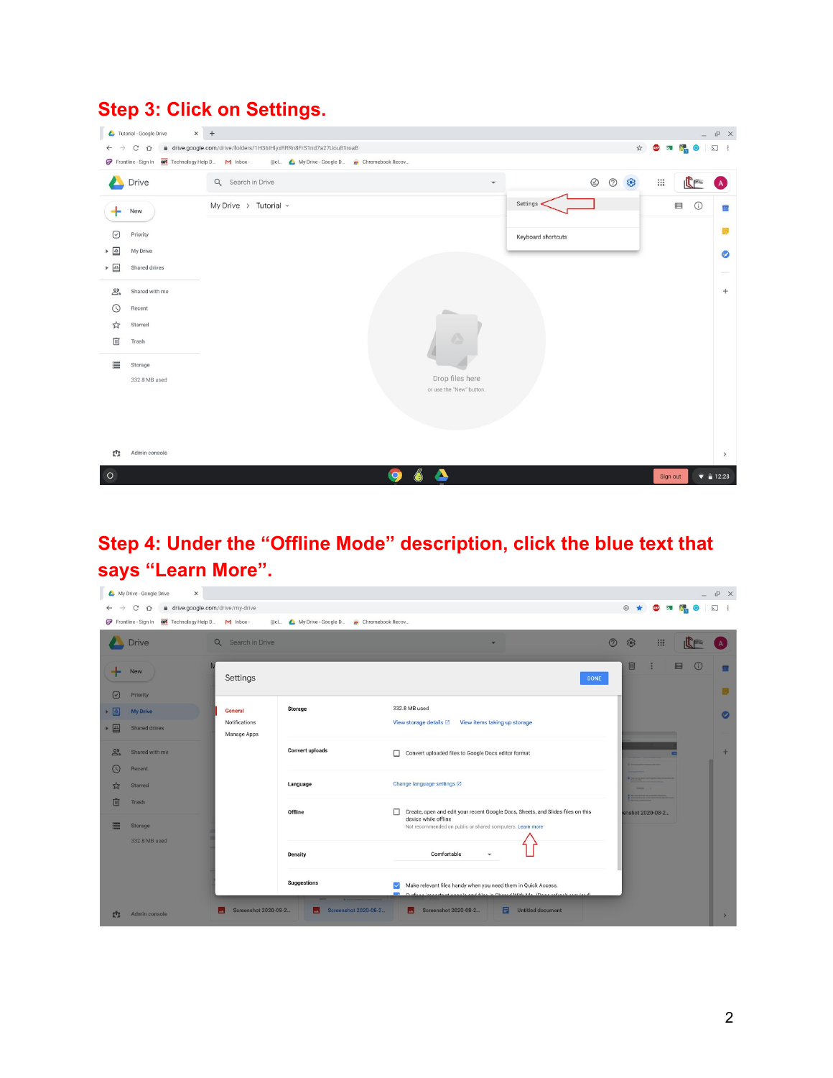#### **Step 3: Click on Settings.**



## **Step 4: Under the "Offline Mode" description, click the blue text that says "Learn More".**

| My Drive - Google Drive<br>$\times$                                                   |                                                      |                                                                                                                                                                      |                                          |          | $\mathbb{P} \times$            |
|---------------------------------------------------------------------------------------|------------------------------------------------------|----------------------------------------------------------------------------------------------------------------------------------------------------------------------|------------------------------------------|----------|--------------------------------|
| ₫ drive.google.com/drive/my-drive<br>C<br>$\hat{O}$<br>$\leftarrow$                   |                                                      |                                                                                                                                                                      | $\oplus$ $\star$ $\oplus$ $\blacksquare$ |          | $5 - 1$                        |
| Frontline - Sign In and Technology Help D M Inbox -                                   | @cl A My Drive - Google D A Chromebook Recov         |                                                                                                                                                                      |                                          |          |                                |
| Drive<br>$\alpha$                                                                     | Search in Drive                                      | $\odot$                                                                                                                                                              | ස<br>$\mathbf{:::}$                      |          |                                |
| <b>New</b>                                                                            | Settings                                             | <b>DONE</b>                                                                                                                                                          | 回                                        | 目<br>(i) | 31<br>$\overline{\mathcal{D}}$ |
| $\Theta$<br>Priority<br><b>I</b><br>General<br><b>My Drive</b><br>・四<br>Shared drives | <b>Storage</b><br>Notifications<br>Manage Apps       | 332.8 MB used<br>View storage details Z<br>View items taking up storage                                                                                              |                                          |          | $\bullet$                      |
| $\mathbf{a}$<br>Shared with me<br>$\omega$<br>Recent                                  | <b>Convert uploads</b>                               | Convert uploaded files to Google Docs editor format                                                                                                                  |                                          | ┍        | $+$                            |
| ☆<br><b>Starred</b><br>面<br>Trash                                                     | Language                                             | Change language settings Z                                                                                                                                           |                                          |          |                                |
| 畺<br>Storage                                                                          | Offline                                              | Create, open and edit your recent Google Docs, Sheets, and Slides files on this<br>device while offline<br>Not recommended on public or shared computers. Learn more | enshot 2020-08-2                         |          |                                |
| 332.8 MB used                                                                         | <b>Density</b>                                       | Comfortable                                                                                                                                                          |                                          |          |                                |
|                                                                                       | Suggestions<br><b>The Contract Contract Contract</b> | Make relevant files handy when you need them in Quick Access.<br>$\checkmark$<br>dees important nearly and files in Charad With Lie (Dees refersh required)          |                                          |          |                                |
| 2 <sup>th</sup><br>Admin console                                                      | Screenshot 2020-08-2<br>Screenshot 2020-08-2<br>ᆈ    | Screenshot 2020-08-2<br>日<br><b>Untitled document</b><br>ш                                                                                                           |                                          |          | $\rightarrow$                  |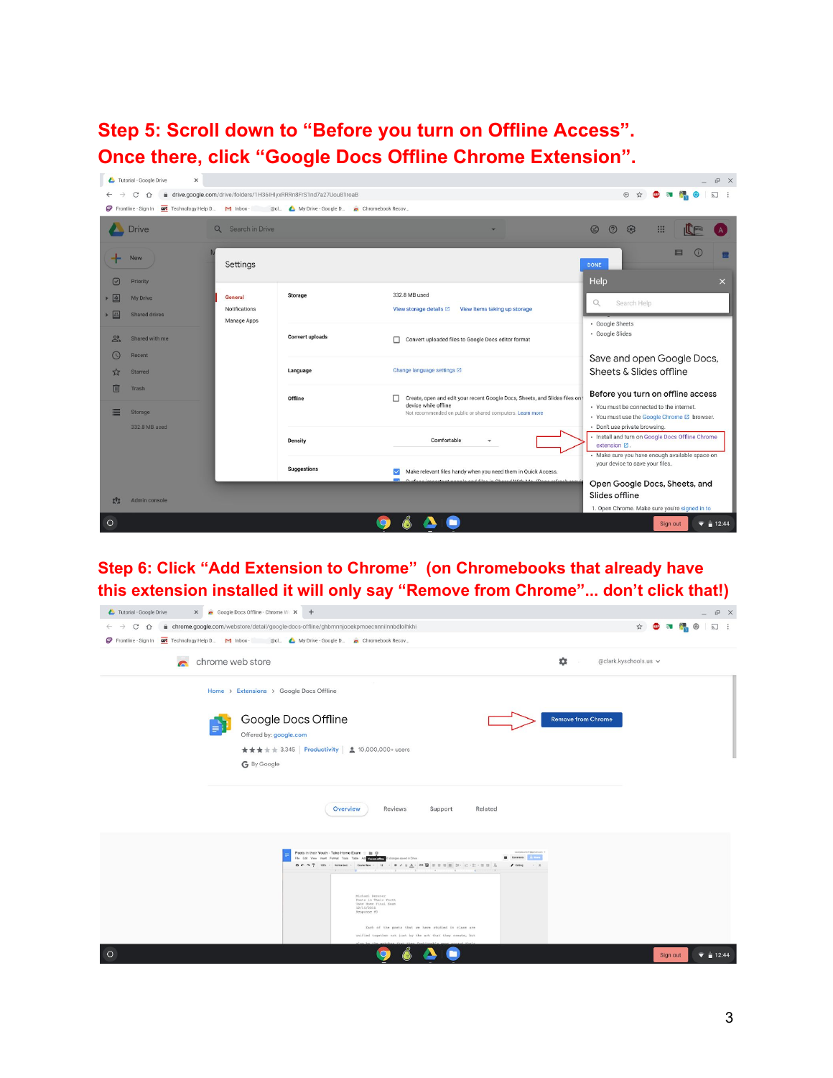**Step 5: Scroll down to "Before you turn on Offline Access". Once there, click "Google Docs Offline Chrome Extension".**

| Tutorial - Google Drive<br>$\times$                                                                         |                                                                    |                        |                                                                                                                                                                      | <b>LEX</b>                                                                                                                                          |
|-------------------------------------------------------------------------------------------------------------|--------------------------------------------------------------------|------------------------|----------------------------------------------------------------------------------------------------------------------------------------------------------------------|-----------------------------------------------------------------------------------------------------------------------------------------------------|
| C<br>⇧                                                                                                      | à drive.google.com/drive/folders/1H36IHlyxRRRn8FrS1nd7a27Uou81roaB |                        |                                                                                                                                                                      | (4) ☆<br>5.                                                                                                                                         |
| Frontline - Sign In $\overline{cos}$ Technology Help D M Inbox - @cl A My Drive - Google D Chromebook Recov |                                                                    |                        |                                                                                                                                                                      |                                                                                                                                                     |
| <b>Drive</b>                                                                                                | Search in Drive<br>$\Omega$                                        |                        |                                                                                                                                                                      | $\circledcirc$<br>$\odot$<br>ಣ<br>:∷                                                                                                                |
| New                                                                                                         | Settings                                                           |                        |                                                                                                                                                                      | 目<br><b>DONE</b>                                                                                                                                    |
| $\lbrack$<br>Priority<br>$\vert \Delta \vert$<br>My Drive<br><b>AL</b><br><b>Shared drives</b>              | General<br>Notifications                                           | Storage                | 332.8 MB used<br>View storage details 2<br>View items taking up storage                                                                                              | Help<br>$\times$<br>$\alpha$<br>Search Help                                                                                                         |
| $\frac{2}{2}$<br>Shared with me<br>$\omega$<br>Recent                                                       | Manage Apps                                                        | <b>Convert uploads</b> | Convert uploaded files to Google Docs editor format<br>п.                                                                                                            | · Google Sheets<br>· Google Slides                                                                                                                  |
| ☆<br><b>Starred</b>                                                                                         |                                                                    | Language               | Change language settings [2]                                                                                                                                         | Save and open Google Docs,<br>Sheets & Slides offline                                                                                               |
| m<br>Trash<br>E<br>Storage                                                                                  |                                                                    | Offline                | Create, open and edit your recent Google Docs, Sheets, and Slides files on<br>п<br>device while offline<br>Not recommended on public or shared computers. Learn more | Before you turn on offline access<br>· You must be connected to the internet.<br>. You must use the Google Chrome ⊠ browser.                        |
| 332.8 MB used                                                                                               |                                                                    | <b>Density</b>         | Comfortable                                                                                                                                                          | · Don't use private browsing.<br>· Install and turn on Google Docs Offline Chrome<br>extension ⊠.<br>· Make sure you have enough available space on |
|                                                                                                             |                                                                    | <b>Suggestions</b>     | Make relevant files handy when you need them in Quick Access.<br>187 Conferent immembers a complement files in Observed With Me. Money sofrach sear                  | your device to save your files.<br>Open Google Docs, Sheets, and                                                                                    |
| Admin console<br>መ                                                                                          |                                                                    |                        |                                                                                                                                                                      | Slides offline<br>1. Open Chrome. Make sure you're signed in to                                                                                     |
| $\circ$                                                                                                     |                                                                    |                        |                                                                                                                                                                      | $\bullet$ = 12:44<br>Sign out                                                                                                                       |

**Step 6: Click "Add Extension to Chrome" (on Chromebooks that already have this extension installed it will only say "Remove from Chrome"... don't click that!)**

| X Coogle Docs Offline - Chrome Wi X +<br>Tutorial - Google Drive                                                                                                                                                                                                                                                                                                                                                                                                                                                                                                                                                                                                                                                                                                                                                                                                                                                                                                                                                                                                                                                                                                                                                                                                 | P X                           |
|------------------------------------------------------------------------------------------------------------------------------------------------------------------------------------------------------------------------------------------------------------------------------------------------------------------------------------------------------------------------------------------------------------------------------------------------------------------------------------------------------------------------------------------------------------------------------------------------------------------------------------------------------------------------------------------------------------------------------------------------------------------------------------------------------------------------------------------------------------------------------------------------------------------------------------------------------------------------------------------------------------------------------------------------------------------------------------------------------------------------------------------------------------------------------------------------------------------------------------------------------------------|-------------------------------|
| à chrome.google.com/webstore/detail/google-docs-offline/ghbmnnjooekpmoecnnnilnnbdlolhkhi<br>$C$ $\Omega$<br>$\rightarrow$<br>$\leftarrow$                                                                                                                                                                                                                                                                                                                                                                                                                                                                                                                                                                                                                                                                                                                                                                                                                                                                                                                                                                                                                                                                                                                        | 2 [8]<br>☆                    |
| Frontline - Sign In $\overline{oo}$ Technology Help D M Inbox - @cl A My Drive - Google D Chromebook Recov                                                                                                                                                                                                                                                                                                                                                                                                                                                                                                                                                                                                                                                                                                                                                                                                                                                                                                                                                                                                                                                                                                                                                       |                               |
| chrome web store<br>$\bullet$                                                                                                                                                                                                                                                                                                                                                                                                                                                                                                                                                                                                                                                                                                                                                                                                                                                                                                                                                                                                                                                                                                                                                                                                                                    | @clark.kyschools.us v         |
| Home > Extensions > Google Docs Offline                                                                                                                                                                                                                                                                                                                                                                                                                                                                                                                                                                                                                                                                                                                                                                                                                                                                                                                                                                                                                                                                                                                                                                                                                          |                               |
| Google Docs Offline<br><b>Remove from Chrome</b><br>Offered by: google.com<br>★★★★ 3.345 Productivity   2 10,000,000+ users<br>G By Google                                                                                                                                                                                                                                                                                                                                                                                                                                                                                                                                                                                                                                                                                                                                                                                                                                                                                                                                                                                                                                                                                                                       |                               |
| Overview<br>Reviews<br>Support<br>Related                                                                                                                                                                                                                                                                                                                                                                                                                                                                                                                                                                                                                                                                                                                                                                                                                                                                                                                                                                                                                                                                                                                                                                                                                        |                               |
| Poets in their Youth - Take Home Exam :: Bt ©<br>mentecessitation of directed area. a<br>File Edit View Insert Format Tools Table Ad Thermatical Eldhanges soved in Drive<br>Commerce<br>$\mathbf{B} \in \mathbf{A} \cdot \overline{\mathbf{y}} \quad \text{and} \quad \mathbf{y} \quad \text{for every } i = 0, \quad i \neq j, \; j \in \mathbf{B} \text{ and } \mathbf{y} \in \mathbf{B} \text{ and } \mathbf{y} \in \mathbf{B} \times \mathbf{B} \text{ and } \mathbf{y} \in \mathbf{B}$<br>$I$ tong<br>$ -$<br>$\mathbb{E} \left[ \mathcal{F} \left( \mathcal{F} \right) \right] \left( \mathcal{F} \right) \left( \mathcal{F} \right) \left( \mathcal{F} \right) \left( \mathcal{F} \right) \left( \mathcal{F} \right) \left( \mathcal{F} \right) \left( \mathcal{F} \right) \left( \mathcal{F} \right) \left( \mathcal{F} \right) \left( \mathcal{F} \right) \left( \mathcal{F} \right) \left( \mathcal{F} \right) \left( \mathcal{F} \right) \left( \mathcal{F} \right) \left( \mathcal{F} \right) \left( \mathcal{F} \$<br>Michael Beezner<br>Poets in Their Youth<br>Take Home Final Exam<br>12/15/2015<br>Response #3<br>Each of the poets that we have studied in class are<br>unified together not just by the art that they create, but<br>$\circ$ | $\bullet$ = 12:44<br>Sign out |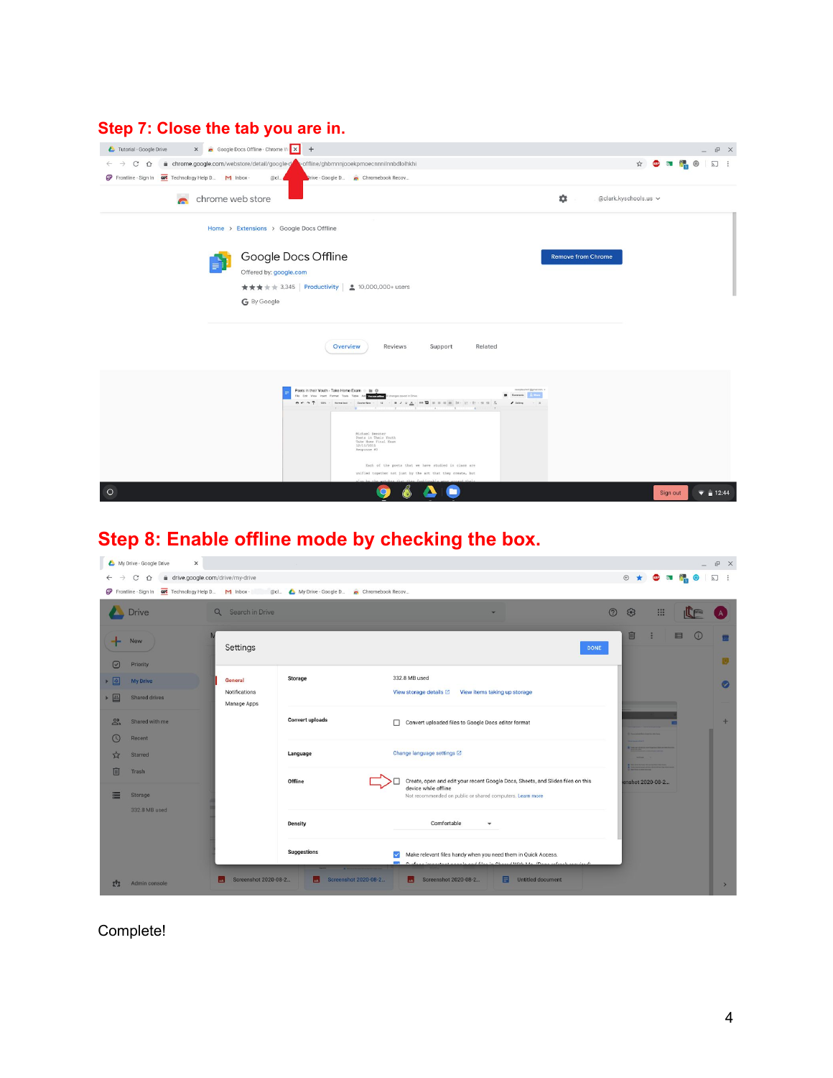#### **Step 7: Close the tab you are in.**

| X Google Docs Offline - Chrome W X +<br>Tutorial - Google Drive                                                                                                                                                                                                                                                                                                                                                                                                                 | 凸<br>$\times$                                                 |
|---------------------------------------------------------------------------------------------------------------------------------------------------------------------------------------------------------------------------------------------------------------------------------------------------------------------------------------------------------------------------------------------------------------------------------------------------------------------------------|---------------------------------------------------------------|
| i chrome.google.com/webstore/detail/google-detail/google-detail/abbronnijooekpmoecnnnilnnbdlolhkhi<br>C<br>$\hat{O}$<br>$\rightarrow$<br>$\leftarrow$                                                                                                                                                                                                                                                                                                                           | <b>ABP</b> 5 <b>1</b><br>☆<br>$\sum$<br>$\ddot{\ddot{\cdot}}$ |
| Frontline - Sign In <b>cos</b> Technology Help D M Inbox -<br>@cl<br>Prive - Google D . Chromebook Recov                                                                                                                                                                                                                                                                                                                                                                        |                                                               |
| $\ddot{\alpha}$<br>$\blacksquare$<br>chrome web store<br>@clark.kyschools.us v                                                                                                                                                                                                                                                                                                                                                                                                  |                                                               |
| Home > Extensions > Google Docs Offline                                                                                                                                                                                                                                                                                                                                                                                                                                         |                                                               |
| Google Docs Offline<br><b>Remove from Chrome</b><br>Offered by: google.com<br>★★★★ 3.345 Productivity   2 10,000,000+ users<br>G By Google                                                                                                                                                                                                                                                                                                                                      |                                                               |
| Overview<br>Reviews<br>Related<br>Support                                                                                                                                                                                                                                                                                                                                                                                                                                       |                                                               |
| Poets in their Youth - Take Home Exam :: Bt @<br>posterer/@prainsn<br>File Edit View Insert Format Tools Table Ad Tourname III changes soved in Drive<br>$I$ tong<br>$ -$<br>$1 - 1 - 1 - 1$<br>to the compact that the state and the compact compact of a<br>Michael Beezner<br>Poets in Their Youth<br>Take Home Final Exam<br>12/15/2015<br>Response #3<br>Each of the poets that we have studied in class are<br>unified together not just by the art that they create, but |                                                               |
| $\circ$                                                                                                                                                                                                                                                                                                                                                                                                                                                                         | $\bullet$ = 12:44<br>Sign out                                 |

## **Step 8: Enable offline mode by checking the box.**

|                                              | My Drive - Google Drive<br>$\times$          |                                         |                                                                                                       |                                                                                                                                                                                                                                                 |                              |              | $E \times$                 |
|----------------------------------------------|----------------------------------------------|-----------------------------------------|-------------------------------------------------------------------------------------------------------|-------------------------------------------------------------------------------------------------------------------------------------------------------------------------------------------------------------------------------------------------|------------------------------|--------------|----------------------------|
|                                              | C<br>$\triangle$                             | à drive.google.com/drive/my-drive       |                                                                                                       |                                                                                                                                                                                                                                                 | ⊕ ★<br>ABP 5                 |              | IJ<br>$\ddot{\phantom{1}}$ |
|                                              |                                              |                                         | Frontline - Sign In <b>oot</b> Technology Help D M Inbox - @cl A My Drive - Google D Chromebook Recov |                                                                                                                                                                                                                                                 |                              |              |                            |
|                                              | Drive                                        | $\alpha$<br>Search in Drive             |                                                                                                       |                                                                                                                                                                                                                                                 | $\odot$<br>ස<br>$\mathbf{m}$ |              |                            |
|                                              | <b>New</b>                                   | Settings                                |                                                                                                       | <b>DONE</b>                                                                                                                                                                                                                                     | 回                            | 肩<br>$\odot$ | Q,                         |
| $\lbrack \downarrow \rbrack$<br>$\mathbb{R}$ | Priority<br><b>My Drive</b><br>Shared drives | General<br>Notifications<br>Manage Apps | <b>Storage</b>                                                                                        | 332.8 MB used<br>View items taking up storage<br>View storage details <a></a>                                                                                                                                                                   |                              |              | Ø                          |
| ஃ<br>ω                                       | Shared with me<br>Recent                     |                                         | <b>Convert uploads</b>                                                                                | Convert uploaded files to Google Docs editor format                                                                                                                                                                                             |                              |              | $+$                        |
|                                              | <b>Starred</b>                               |                                         | Language                                                                                              | Change language settings Z                                                                                                                                                                                                                      |                              |              |                            |
| 回<br>≕                                       | Trash<br>Storage<br>332.8 MB used            |                                         | Offline                                                                                               | Create, open and edit your recent Google Docs, Sheets, and Slides files on this<br>device while offline<br>Not recommended on public or shared computers. Learn more                                                                            | enshot 2020-08-2             |              |                            |
|                                              |                                              |                                         | <b>Density</b>                                                                                        | Comfortable<br>$\mathbf{v}$                                                                                                                                                                                                                     |                              |              |                            |
| m                                            | Admin console                                | Screenshot 2020-08-2<br>ᆈ               | Suggestions<br>Screenshot 2020-08-2<br>Ы                                                              | Make relevant files handy when you need them in Quick Access.<br>$\checkmark$<br>1971 Conference incorporational monocity and dilucy in Okeanod Middle River (Denne andereck annual and)<br>Screenshot 2020-08-2<br>Untitled document<br>Е<br>ш |                              |              | $\rightarrow$              |
|                                              |                                              |                                         |                                                                                                       |                                                                                                                                                                                                                                                 |                              |              |                            |

Complete!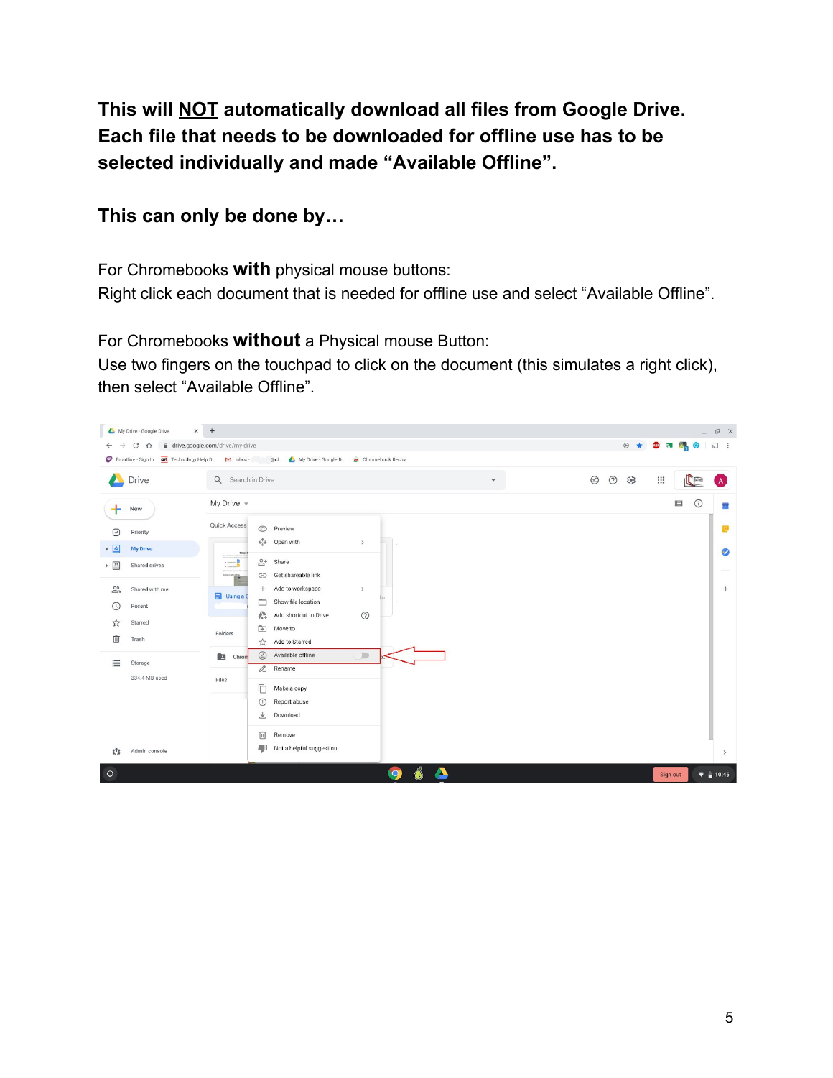**This will NOT automatically download all files from Google Drive. Each file that needs to be downloaded for offline use has to be selected individually and made "Available Offline".**

#### **This can only be done by…**

For Chromebooks **with** physical mouse buttons:

Right click each document that is needed for offline use and select "Available Offline".

For Chromebooks **without** a Physical mouse Button:

Use two fingers on the touchpad to click on the document (this simulates a right click), then select "Available Offline".